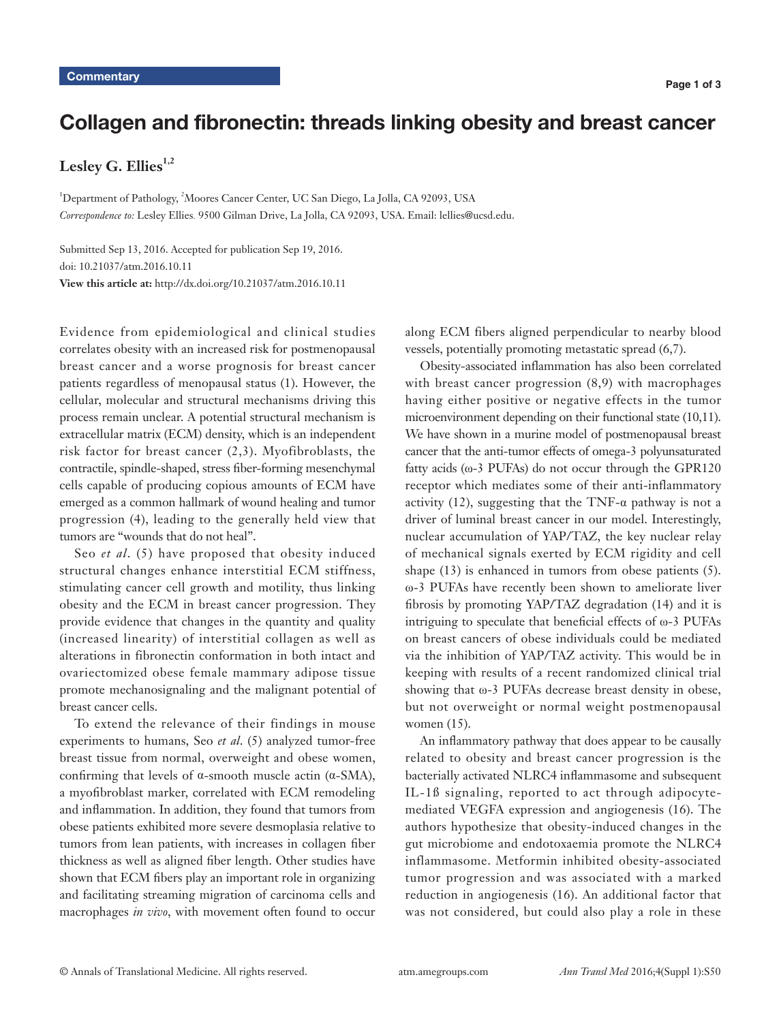# Collagen and fibronectin: threads linking obesity and breast cancer

Lesley G. Ellies<sup>1,2</sup>

<sup>1</sup>Department of Pathology, <sup>2</sup>Moores Cancer Center, UC San Diego, La Jolla, CA 92093, USA *Correspondence to:* Lesley Ellies. 9500 Gilman Drive, La Jolla, CA 92093, USA. Email: lellies@ucsd.edu.

Submitted Sep 13, 2016. Accepted for publication Sep 19, 2016. doi: 10.21037/atm.2016.10.11 **View this article at:** http://dx.doi.org/10.21037/atm.2016.10.11

Evidence from epidemiological and clinical studies correlates obesity with an increased risk for postmenopausal breast cancer and a worse prognosis for breast cancer patients regardless of menopausal status (1). However, the cellular, molecular and structural mechanisms driving this process remain unclear. A potential structural mechanism is extracellular matrix (ECM) density, which is an independent risk factor for breast cancer (2,3). Myofibroblasts, the contractile, spindle-shaped, stress fiber-forming mesenchymal cells capable of producing copious amounts of ECM have emerged as a common hallmark of wound healing and tumor progression (4), leading to the generally held view that tumors are "wounds that do not heal".

Seo *et al*. (5) have proposed that obesity induced structural changes enhance interstitial ECM stiffness, stimulating cancer cell growth and motility, thus linking obesity and the ECM in breast cancer progression. They provide evidence that changes in the quantity and quality (increased linearity) of interstitial collagen as well as alterations in fibronectin conformation in both intact and ovariectomized obese female mammary adipose tissue promote mechanosignaling and the malignant potential of breast cancer cells.

To extend the relevance of their findings in mouse experiments to humans, Seo *et al*. (5) analyzed tumor-free breast tissue from normal, overweight and obese women, confirming that levels of α-smooth muscle actin (α-SMA), a myofibroblast marker, correlated with ECM remodeling and inflammation. In addition, they found that tumors from obese patients exhibited more severe desmoplasia relative to tumors from lean patients, with increases in collagen fiber thickness as well as aligned fiber length. Other studies have shown that ECM fibers play an important role in organizing and facilitating streaming migration of carcinoma cells and macrophages *in vivo*, with movement often found to occur along ECM fibers aligned perpendicular to nearby blood vessels, potentially promoting metastatic spread (6,7).

Obesity-associated inflammation has also been correlated with breast cancer progression  $(8,9)$  with macrophages having either positive or negative effects in the tumor microenvironment depending on their functional state (10,11). We have shown in a murine model of postmenopausal breast cancer that the anti-tumor effects of omega-3 polyunsaturated fatty acids (ω-3 PUFAs) do not occur through the GPR120 receptor which mediates some of their anti-inflammatory activity (12), suggesting that the TNF- $\alpha$  pathway is not a driver of luminal breast cancer in our model. Interestingly, nuclear accumulation of YAP/TAZ, the key nuclear relay of mechanical signals exerted by ECM rigidity and cell shape (13) is enhanced in tumors from obese patients (5). ω-3 PUFAs have recently been shown to ameliorate liver fibrosis by promoting YAP/TAZ degradation (14) and it is intriguing to speculate that beneficial effects of ω-3 PUFAs on breast cancers of obese individuals could be mediated via the inhibition of YAP/TAZ activity. This would be in keeping with results of a recent randomized clinical trial showing that ω-3 PUFAs decrease breast density in obese, but not overweight or normal weight postmenopausal women (15).

An inflammatory pathway that does appear to be causally related to obesity and breast cancer progression is the bacterially activated NLRC4 inflammasome and subsequent IL-1ß signaling, reported to act through adipocytemediated VEGFA expression and angiogenesis (16). The authors hypothesize that obesity-induced changes in the gut microbiome and endotoxaemia promote the NLRC4 inflammasome. Metformin inhibited obesity-associated tumor progression and was associated with a marked reduction in angiogenesis (16). An additional factor that was not considered, but could also play a role in these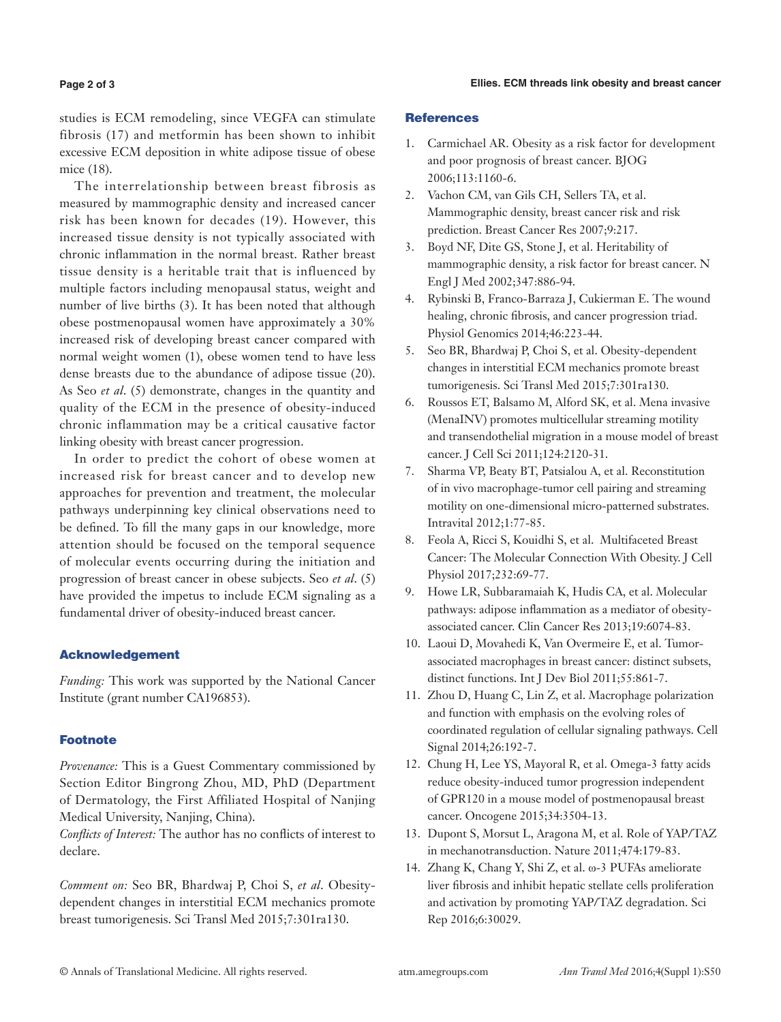#### **Ellies. ECM threads link obesity and breast cancer**

#### **Page 2 of 3**

studies is ECM remodeling, since VEGFA can stimulate fibrosis (17) and metformin has been shown to inhibit excessive ECM deposition in white adipose tissue of obese mice (18).

The interrelationship between breast fibrosis as measured by mammographic density and increased cancer risk has been known for decades (19). However, this increased tissue density is not typically associated with chronic inflammation in the normal breast. Rather breast tissue density is a heritable trait that is influenced by multiple factors including menopausal status, weight and number of live births (3). It has been noted that although obese postmenopausal women have approximately a 30% increased risk of developing breast cancer compared with normal weight women (1), obese women tend to have less dense breasts due to the abundance of adipose tissue (20). As Seo *et al*. (5) demonstrate, changes in the quantity and quality of the ECM in the presence of obesity-induced chronic inflammation may be a critical causative factor linking obesity with breast cancer progression.

In order to predict the cohort of obese women at increased risk for breast cancer and to develop new approaches for prevention and treatment, the molecular pathways underpinning key clinical observations need to be defined. To fill the many gaps in our knowledge, more attention should be focused on the temporal sequence of molecular events occurring during the initiation and progression of breast cancer in obese subjects. Seo *et al*. (5) have provided the impetus to include ECM signaling as a fundamental driver of obesity-induced breast cancer.

## Acknowledgement

*Funding:* This work was supported by the National Cancer Institute (grant number CA196853).

## **Footnote**

*Provenance:* This is a Guest Commentary commissioned by Section Editor Bingrong Zhou, MD, PhD (Department of Dermatology, the First Affiliated Hospital of Nanjing Medical University, Nanjing, China).

*Conflicts of Interest:* The author has no conflicts of interest to declare.

*Comment on:* Seo BR, Bhardwaj P, Choi S, *et al*. Obesitydependent changes in interstitial ECM mechanics promote breast tumorigenesis. Sci Transl Med 2015;7:301ra130.

## **References**

- 1. Carmichael AR. Obesity as a risk factor for development and poor prognosis of breast cancer. BJOG 2006;113:1160-6.
- 2. Vachon CM, van Gils CH, Sellers TA, et al. Mammographic density, breast cancer risk and risk prediction. Breast Cancer Res 2007;9:217.
- 3. Boyd NF, Dite GS, Stone J, et al. Heritability of mammographic density, a risk factor for breast cancer. N Engl J Med 2002;347:886-94.
- 4. Rybinski B, Franco-Barraza J, Cukierman E. The wound healing, chronic fibrosis, and cancer progression triad. Physiol Genomics 2014;46:223-44.
- 5. Seo BR, Bhardwaj P, Choi S, et al. Obesity-dependent changes in interstitial ECM mechanics promote breast tumorigenesis. Sci Transl Med 2015;7:301ra130.
- 6. Roussos ET, Balsamo M, Alford SK, et al. Mena invasive (MenaINV) promotes multicellular streaming motility and transendothelial migration in a mouse model of breast cancer. J Cell Sci 2011;124:2120-31.
- 7. Sharma VP, Beaty BT, Patsialou A, et al. Reconstitution of in vivo macrophage-tumor cell pairing and streaming motility on one-dimensional micro-patterned substrates. Intravital 2012;1:77-85.
- 8. Feola A, Ricci S, Kouidhi S, et al. Multifaceted Breast Cancer: The Molecular Connection With Obesity. J Cell Physiol 2017;232:69-77.
- 9. Howe LR, Subbaramaiah K, Hudis CA, et al. Molecular pathways: adipose inflammation as a mediator of obesityassociated cancer. Clin Cancer Res 2013;19:6074-83.
- 10. Laoui D, Movahedi K, Van Overmeire E, et al. Tumorassociated macrophages in breast cancer: distinct subsets, distinct functions. Int J Dev Biol 2011;55:861-7.
- 11. Zhou D, Huang C, Lin Z, et al. Macrophage polarization and function with emphasis on the evolving roles of coordinated regulation of cellular signaling pathways. Cell Signal 2014;26:192-7.
- 12. Chung H, Lee YS, Mayoral R, et al. Omega-3 fatty acids reduce obesity-induced tumor progression independent of GPR120 in a mouse model of postmenopausal breast cancer. Oncogene 2015;34:3504-13.
- 13. Dupont S, Morsut L, Aragona M, et al. Role of YAP/TAZ in mechanotransduction. Nature 2011;474:179-83.
- 14. Zhang K, Chang Y, Shi Z, et al. ω-3 PUFAs ameliorate liver fibrosis and inhibit hepatic stellate cells proliferation and activation by promoting YAP/TAZ degradation. Sci Rep 2016;6:30029.